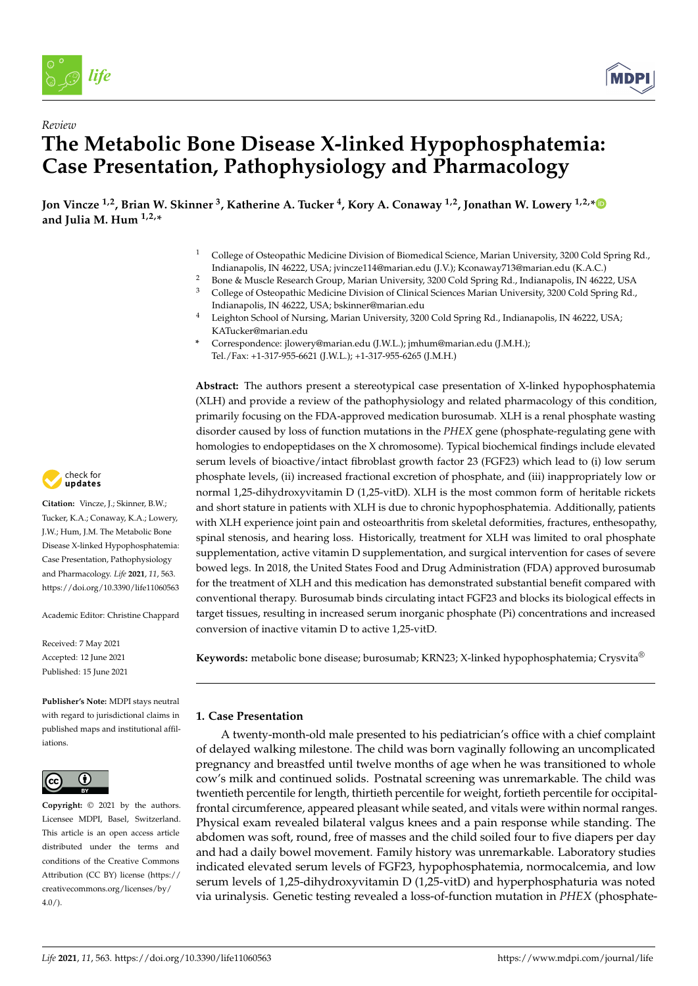

*Review*



# **The Metabolic Bone Disease X-linked Hypophosphatemia: Case Presentation, Pathophysiology and Pharmacology**

**Jon Vincze 1,2, Brian W. Skinner <sup>3</sup> , Katherine A. Tucker <sup>4</sup> , Kory A. Conaway 1,2, Jonathan W. Lowery 1,2,[\\*](https://orcid.org/0000-0002-9942-2945) and Julia M. Hum 1,2,\***

- <sup>1</sup> College of Osteopathic Medicine Division of Biomedical Science, Marian University, 3200 Cold Spring Rd., Indianapolis, IN 46222, USA; jvincze114@marian.edu (J.V.); Kconaway713@marian.edu (K.A.C.)
- <sup>2</sup> Bone & Muscle Research Group, Marian University, 3200 Cold Spring Rd., Indianapolis, IN 46222, USA<br><sup>3</sup> College of Octoprathic Modicine Division of Clinical Sciences Marian University, 2200 Cold Spring Rd.
- <sup>3</sup> College of Osteopathic Medicine Division of Clinical Sciences Marian University, 3200 Cold Spring Rd., Indianapolis, IN 46222, USA; bskinner@marian.edu
- <sup>4</sup> Leighton School of Nursing, Marian University, 3200 Cold Spring Rd., Indianapolis, IN 46222, USA; KATucker@marian.edu
- **\*** Correspondence: jlowery@marian.edu (J.W.L.); jmhum@marian.edu (J.M.H.); Tel./Fax: +1-317-955-6621 (J.W.L.); +1-317-955-6265 (J.M.H.)

**Abstract:** The authors present a stereotypical case presentation of X-linked hypophosphatemia (XLH) and provide a review of the pathophysiology and related pharmacology of this condition, primarily focusing on the FDA-approved medication burosumab. XLH is a renal phosphate wasting disorder caused by loss of function mutations in the *PHEX* gene (phosphate-regulating gene with homologies to endopeptidases on the X chromosome). Typical biochemical findings include elevated serum levels of bioactive/intact fibroblast growth factor 23 (FGF23) which lead to (i) low serum phosphate levels, (ii) increased fractional excretion of phosphate, and (iii) inappropriately low or normal 1,25-dihydroxyvitamin D (1,25-vitD). XLH is the most common form of heritable rickets and short stature in patients with XLH is due to chronic hypophosphatemia. Additionally, patients with XLH experience joint pain and osteoarthritis from skeletal deformities, fractures, enthesopathy, spinal stenosis, and hearing loss. Historically, treatment for XLH was limited to oral phosphate supplementation, active vitamin D supplementation, and surgical intervention for cases of severe bowed legs. In 2018, the United States Food and Drug Administration (FDA) approved burosumab for the treatment of XLH and this medication has demonstrated substantial benefit compared with conventional therapy. Burosumab binds circulating intact FGF23 and blocks its biological effects in target tissues, resulting in increased serum inorganic phosphate (Pi) concentrations and increased conversion of inactive vitamin D to active 1,25-vitD.

**Keywords:** metabolic bone disease; burosumab; KRN23; X-linked hypophosphatemia; Crysvita®

## **1. Case Presentation**

A twenty-month-old male presented to his pediatrician's office with a chief complaint of delayed walking milestone. The child was born vaginally following an uncomplicated pregnancy and breastfed until twelve months of age when he was transitioned to whole cow's milk and continued solids. Postnatal screening was unremarkable. The child was twentieth percentile for length, thirtieth percentile for weight, fortieth percentile for occipitalfrontal circumference, appeared pleasant while seated, and vitals were within normal ranges. Physical exam revealed bilateral valgus knees and a pain response while standing. The abdomen was soft, round, free of masses and the child soiled four to five diapers per day and had a daily bowel movement. Family history was unremarkable. Laboratory studies indicated elevated serum levels of FGF23, hypophosphatemia, normocalcemia, and low serum levels of 1,25-dihydroxyvitamin D (1,25-vitD) and hyperphosphaturia was noted via urinalysis. Genetic testing revealed a loss-of-function mutation in *PHEX* (phosphate-



**Citation:** Vincze, J.; Skinner, B.W.; Tucker, K.A.; Conaway, K.A.; Lowery, J.W.; Hum, J.M. The Metabolic Bone Disease X-linked Hypophosphatemia: Case Presentation, Pathophysiology and Pharmacology. *Life* **2021**, *11*, 563. <https://doi.org/10.3390/life11060563>

Academic Editor: Christine Chappard

Received: 7 May 2021 Accepted: 12 June 2021 Published: 15 June 2021

**Publisher's Note:** MDPI stays neutral with regard to jurisdictional claims in published maps and institutional affiliations.



**Copyright:** © 2021 by the authors. Licensee MDPI, Basel, Switzerland. This article is an open access article distributed under the terms and conditions of the Creative Commons Attribution (CC BY) license (https:/[/](https://creativecommons.org/licenses/by/4.0/) [creativecommons.org/licenses/by/](https://creativecommons.org/licenses/by/4.0/)  $4.0/$ ).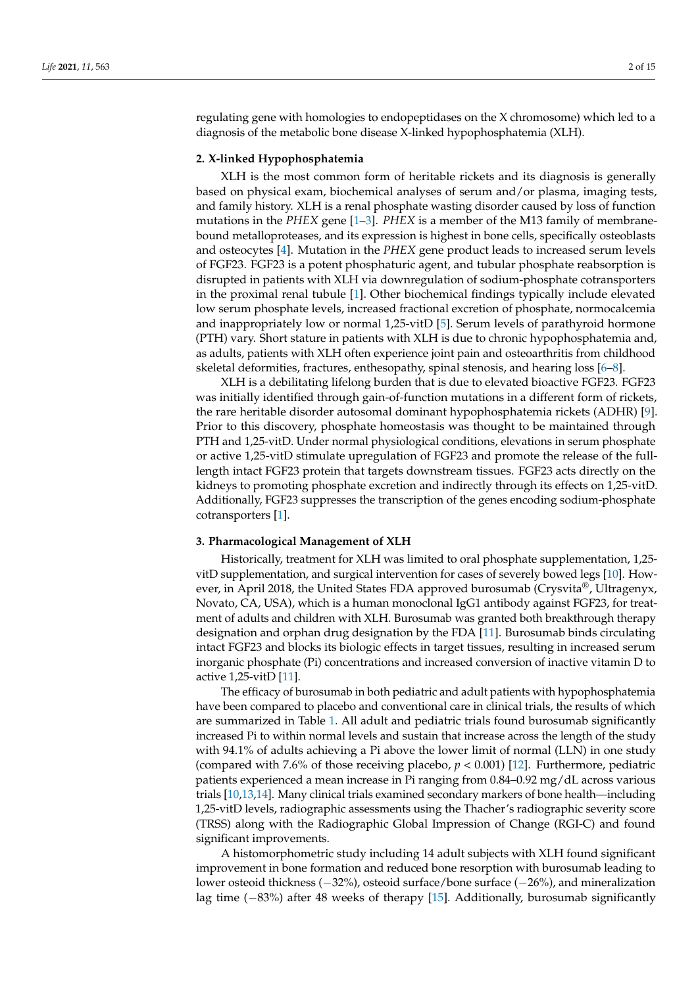regulating gene with homologies to endopeptidases on the X chromosome) which led to a diagnosis of the metabolic bone disease X-linked hypophosphatemia (XLH).

#### **2. X-linked Hypophosphatemia**

XLH is the most common form of heritable rickets and its diagnosis is generally based on physical exam, biochemical analyses of serum and/or plasma, imaging tests, and family history. XLH is a renal phosphate wasting disorder caused by loss of function mutations in the *PHEX* gene [\[1–](#page-13-0)[3\]](#page-13-1). *PHEX* is a member of the M13 family of membranebound metalloproteases, and its expression is highest in bone cells, specifically osteoblasts and osteocytes [\[4\]](#page-13-2). Mutation in the *PHEX* gene product leads to increased serum levels of FGF23. FGF23 is a potent phosphaturic agent, and tubular phosphate reabsorption is disrupted in patients with XLH via downregulation of sodium-phosphate cotransporters in the proximal renal tubule [\[1\]](#page-13-0). Other biochemical findings typically include elevated low serum phosphate levels, increased fractional excretion of phosphate, normocalcemia and inappropriately low or normal 1,25-vitD [\[5\]](#page-13-3). Serum levels of parathyroid hormone (PTH) vary. Short stature in patients with XLH is due to chronic hypophosphatemia and, as adults, patients with XLH often experience joint pain and osteoarthritis from childhood skeletal deformities, fractures, enthesopathy, spinal stenosis, and hearing loss [\[6–](#page-13-4)[8\]](#page-13-5).

XLH is a debilitating lifelong burden that is due to elevated bioactive FGF23. FGF23 was initially identified through gain-of-function mutations in a different form of rickets, the rare heritable disorder autosomal dominant hypophosphatemia rickets (ADHR) [\[9\]](#page-13-6). Prior to this discovery, phosphate homeostasis was thought to be maintained through PTH and 1,25-vitD. Under normal physiological conditions, elevations in serum phosphate or active 1,25-vitD stimulate upregulation of FGF23 and promote the release of the fulllength intact FGF23 protein that targets downstream tissues. FGF23 acts directly on the kidneys to promoting phosphate excretion and indirectly through its effects on 1,25-vitD. Additionally, FGF23 suppresses the transcription of the genes encoding sodium-phosphate cotransporters [\[1\]](#page-13-0).

#### **3. Pharmacological Management of XLH**

Historically, treatment for XLH was limited to oral phosphate supplementation, 1,25 vitD supplementation, and surgical intervention for cases of severely bowed legs [\[10\]](#page-14-0). However, in April 2018, the United States FDA approved burosumab (Crysvita®, Ultragenyx, Novato, CA, USA), which is a human monoclonal IgG1 antibody against FGF23, for treatment of adults and children with XLH. Burosumab was granted both breakthrough therapy designation and orphan drug designation by the FDA [\[11\]](#page-14-1). Burosumab binds circulating intact FGF23 and blocks its biologic effects in target tissues, resulting in increased serum inorganic phosphate (Pi) concentrations and increased conversion of inactive vitamin D to active 1,25-vitD [\[11\]](#page-14-1).

The efficacy of burosumab in both pediatric and adult patients with hypophosphatemia have been compared to placebo and conventional care in clinical trials, the results of which are summarized in Table [1.](#page-12-0) All adult and pediatric trials found burosumab significantly increased Pi to within normal levels and sustain that increase across the length of the study with 94.1% of adults achieving a Pi above the lower limit of normal (LLN) in one study (compared with 7.6% of those receiving placebo, *p* < 0.001) [\[12\]](#page-14-2). Furthermore, pediatric patients experienced a mean increase in Pi ranging from 0.84–0.92 mg/dL across various trials [\[10](#page-14-0)[,13,](#page-14-3)[14\]](#page-14-4). Many clinical trials examined secondary markers of bone health—including 1,25-vitD levels, radiographic assessments using the Thacher's radiographic severity score (TRSS) along with the Radiographic Global Impression of Change (RGI-C) and found significant improvements.

A histomorphometric study including 14 adult subjects with XLH found significant improvement in bone formation and reduced bone resorption with burosumab leading to lower osteoid thickness (−32%), osteoid surface/bone surface (−26%), and mineralization lag time (−83%) after 48 weeks of therapy [\[15\]](#page-14-5). Additionally, burosumab significantly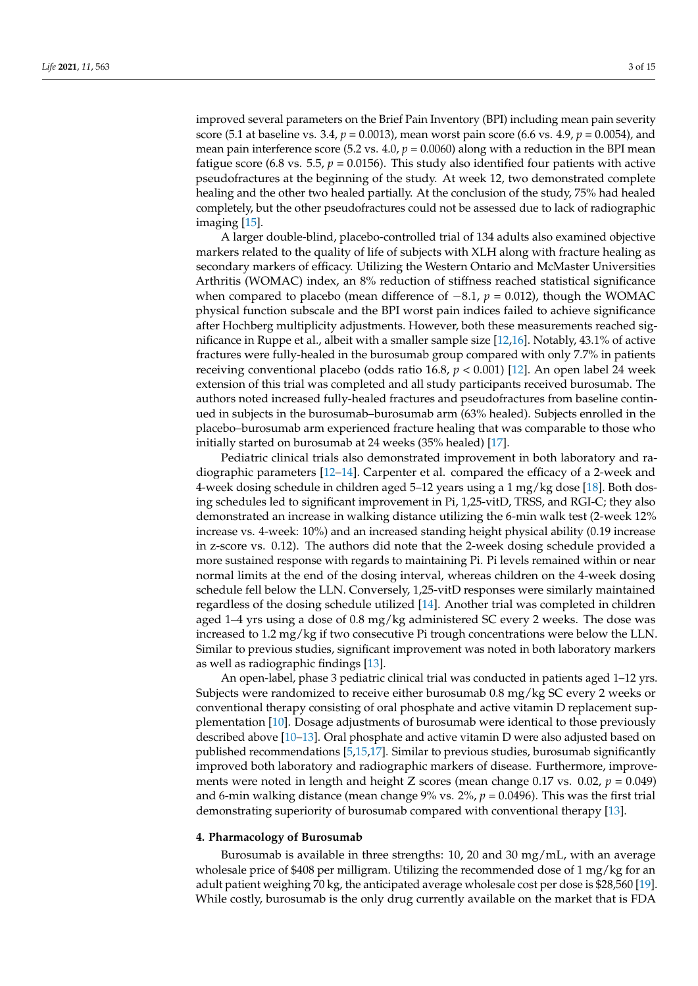improved several parameters on the Brief Pain Inventory (BPI) including mean pain severity score (5.1 at baseline vs. 3.4, *p* = 0.0013), mean worst pain score (6.6 vs. 4.9, *p* = 0.0054), and mean pain interference score (5.2 vs.  $4.0, p = 0.0060$ ) along with a reduction in the BPI mean fatigue score (6.8 vs. 5.5,  $p = 0.0156$ ). This study also identified four patients with active pseudofractures at the beginning of the study. At week 12, two demonstrated complete healing and the other two healed partially. At the conclusion of the study, 75% had healed completely, but the other pseudofractures could not be assessed due to lack of radiographic imaging [\[15\]](#page-14-5).

A larger double-blind, placebo-controlled trial of 134 adults also examined objective markers related to the quality of life of subjects with XLH along with fracture healing as secondary markers of efficacy. Utilizing the Western Ontario and McMaster Universities Arthritis (WOMAC) index, an 8% reduction of stiffness reached statistical significance when compared to placebo (mean difference of −8.1, *p* = 0.012), though the WOMAC physical function subscale and the BPI worst pain indices failed to achieve significance after Hochberg multiplicity adjustments. However, both these measurements reached significance in Ruppe et al., albeit with a smaller sample size [\[12](#page-14-2)[,16\]](#page-14-6). Notably, 43.1% of active fractures were fully-healed in the burosumab group compared with only 7.7% in patients receiving conventional placebo (odds ratio 16.8, *p* < 0.001) [\[12\]](#page-14-2). An open label 24 week extension of this trial was completed and all study participants received burosumab. The authors noted increased fully-healed fractures and pseudofractures from baseline continued in subjects in the burosumab–burosumab arm (63% healed). Subjects enrolled in the placebo–burosumab arm experienced fracture healing that was comparable to those who initially started on burosumab at 24 weeks (35% healed) [\[17\]](#page-14-7).

Pediatric clinical trials also demonstrated improvement in both laboratory and radiographic parameters [\[12](#page-14-2)[–14\]](#page-14-4). Carpenter et al. compared the efficacy of a 2-week and 4-week dosing schedule in children aged 5–12 years using a 1 mg/kg dose [\[18\]](#page-14-8). Both dosing schedules led to significant improvement in Pi, 1,25-vitD, TRSS, and RGI-C; they also demonstrated an increase in walking distance utilizing the 6-min walk test (2-week 12% increase vs. 4-week: 10%) and an increased standing height physical ability (0.19 increase in z-score vs. 0.12). The authors did note that the 2-week dosing schedule provided a more sustained response with regards to maintaining Pi. Pi levels remained within or near normal limits at the end of the dosing interval, whereas children on the 4-week dosing schedule fell below the LLN. Conversely, 1,25-vitD responses were similarly maintained regardless of the dosing schedule utilized [\[14\]](#page-14-4). Another trial was completed in children aged 1–4 yrs using a dose of 0.8 mg/kg administered SC every 2 weeks. The dose was increased to 1.2 mg/kg if two consecutive Pi trough concentrations were below the LLN. Similar to previous studies, significant improvement was noted in both laboratory markers as well as radiographic findings [\[13\]](#page-14-3).

An open-label, phase 3 pediatric clinical trial was conducted in patients aged 1–12 yrs. Subjects were randomized to receive either burosumab 0.8 mg/kg SC every 2 weeks or conventional therapy consisting of oral phosphate and active vitamin D replacement supplementation [\[10\]](#page-14-0). Dosage adjustments of burosumab were identical to those previously described above [\[10–](#page-14-0)[13\]](#page-14-3). Oral phosphate and active vitamin D were also adjusted based on published recommendations [\[5](#page-13-3)[,15](#page-14-5)[,17\]](#page-14-7). Similar to previous studies, burosumab significantly improved both laboratory and radiographic markers of disease. Furthermore, improvements were noted in length and height Z scores (mean change 0.17 vs.  $0.02$ ,  $p = 0.049$ ) and 6-min walking distance (mean change 9% vs. 2%, *p* = 0.0496). This was the first trial demonstrating superiority of burosumab compared with conventional therapy [\[13\]](#page-14-3).

## **4. Pharmacology of Burosumab**

Burosumab is available in three strengths: 10, 20 and 30 mg/mL, with an average wholesale price of \$408 per milligram. Utilizing the recommended dose of 1 mg/kg for an adult patient weighing 70 kg, the anticipated average wholesale cost per dose is \$28,560 [\[19\]](#page-14-9). While costly, burosumab is the only drug currently available on the market that is FDA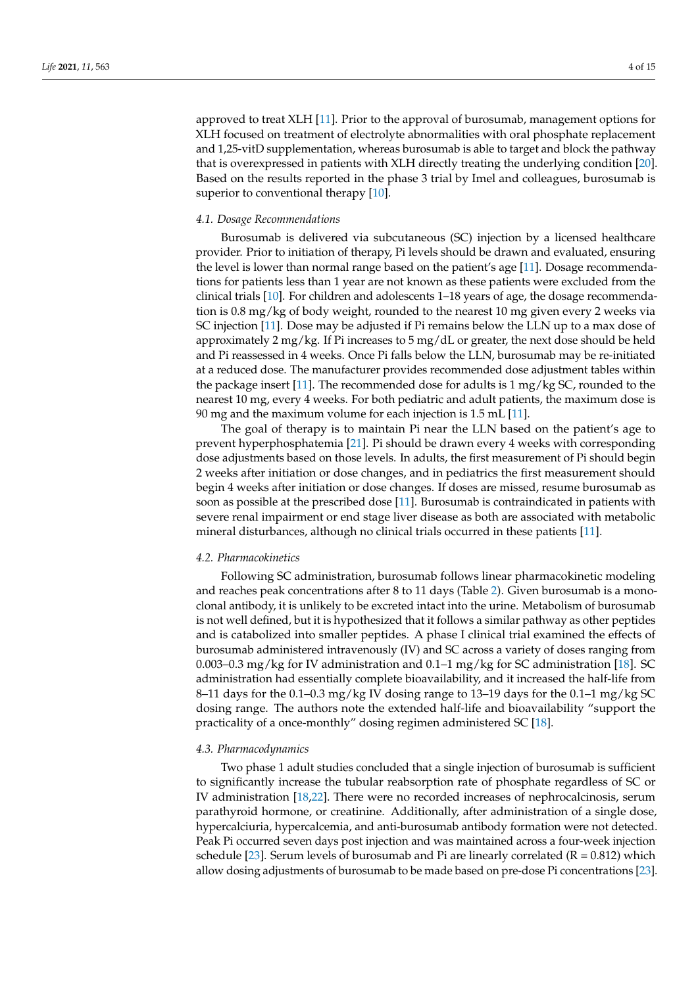approved to treat XLH [\[11\]](#page-14-1). Prior to the approval of burosumab, management options for XLH focused on treatment of electrolyte abnormalities with oral phosphate replacement and 1,25-vitD supplementation, whereas burosumab is able to target and block the pathway that is overexpressed in patients with XLH directly treating the underlying condition [\[20\]](#page-14-10). Based on the results reported in the phase 3 trial by Imel and colleagues, burosumab is superior to conventional therapy [\[10\]](#page-14-0).

### *4.1. Dosage Recommendations*

Burosumab is delivered via subcutaneous (SC) injection by a licensed healthcare provider. Prior to initiation of therapy, Pi levels should be drawn and evaluated, ensuring the level is lower than normal range based on the patient's age [\[11\]](#page-14-1). Dosage recommendations for patients less than 1 year are not known as these patients were excluded from the clinical trials [\[10\]](#page-14-0). For children and adolescents 1–18 years of age, the dosage recommendation is 0.8 mg/kg of body weight, rounded to the nearest 10 mg given every 2 weeks via SC injection [\[11\]](#page-14-1). Dose may be adjusted if Pi remains below the LLN up to a max dose of approximately 2 mg/kg. If Pi increases to 5 mg/dL or greater, the next dose should be held and Pi reassessed in 4 weeks. Once Pi falls below the LLN, burosumab may be re-initiated at a reduced dose. The manufacturer provides recommended dose adjustment tables within the package insert [\[11\]](#page-14-1). The recommended dose for adults is 1 mg/kg SC, rounded to the nearest 10 mg, every 4 weeks. For both pediatric and adult patients, the maximum dose is 90 mg and the maximum volume for each injection is 1.5 mL [\[11\]](#page-14-1).

The goal of therapy is to maintain Pi near the LLN based on the patient's age to prevent hyperphosphatemia [\[21\]](#page-14-11). Pi should be drawn every 4 weeks with corresponding dose adjustments based on those levels. In adults, the first measurement of Pi should begin 2 weeks after initiation or dose changes, and in pediatrics the first measurement should begin 4 weeks after initiation or dose changes. If doses are missed, resume burosumab as soon as possible at the prescribed dose [\[11\]](#page-14-1). Burosumab is contraindicated in patients with severe renal impairment or end stage liver disease as both are associated with metabolic mineral disturbances, although no clinical trials occurred in these patients [\[11\]](#page-14-1).

### *4.2. Pharmacokinetics*

Following SC administration, burosumab follows linear pharmacokinetic modeling and reaches peak concentrations after 8 to 11 days (Table [2\)](#page-13-7). Given burosumab is a monoclonal antibody, it is unlikely to be excreted intact into the urine. Metabolism of burosumab is not well defined, but it is hypothesized that it follows a similar pathway as other peptides and is catabolized into smaller peptides. A phase I clinical trial examined the effects of burosumab administered intravenously (IV) and SC across a variety of doses ranging from 0.003–0.3 mg/kg for IV administration and 0.1–1 mg/kg for SC administration [\[18\]](#page-14-8). SC administration had essentially complete bioavailability, and it increased the half-life from 8–11 days for the 0.1–0.3 mg/kg IV dosing range to 13–19 days for the 0.1–1 mg/kg SC dosing range. The authors note the extended half-life and bioavailability "support the practicality of a once-monthly" dosing regimen administered SC [\[18\]](#page-14-8).

#### *4.3. Pharmacodynamics*

Two phase 1 adult studies concluded that a single injection of burosumab is sufficient to significantly increase the tubular reabsorption rate of phosphate regardless of SC or IV administration [\[18](#page-14-8)[,22\]](#page-14-12). There were no recorded increases of nephrocalcinosis, serum parathyroid hormone, or creatinine. Additionally, after administration of a single dose, hypercalciuria, hypercalcemia, and anti-burosumab antibody formation were not detected. Peak Pi occurred seven days post injection and was maintained across a four-week injection schedule [\[23\]](#page-14-13). Serum levels of burosumab and Pi are linearly correlated  $(R = 0.812)$  which allow dosing adjustments of burosumab to be made based on pre-dose Pi concentrations [\[23\]](#page-14-13).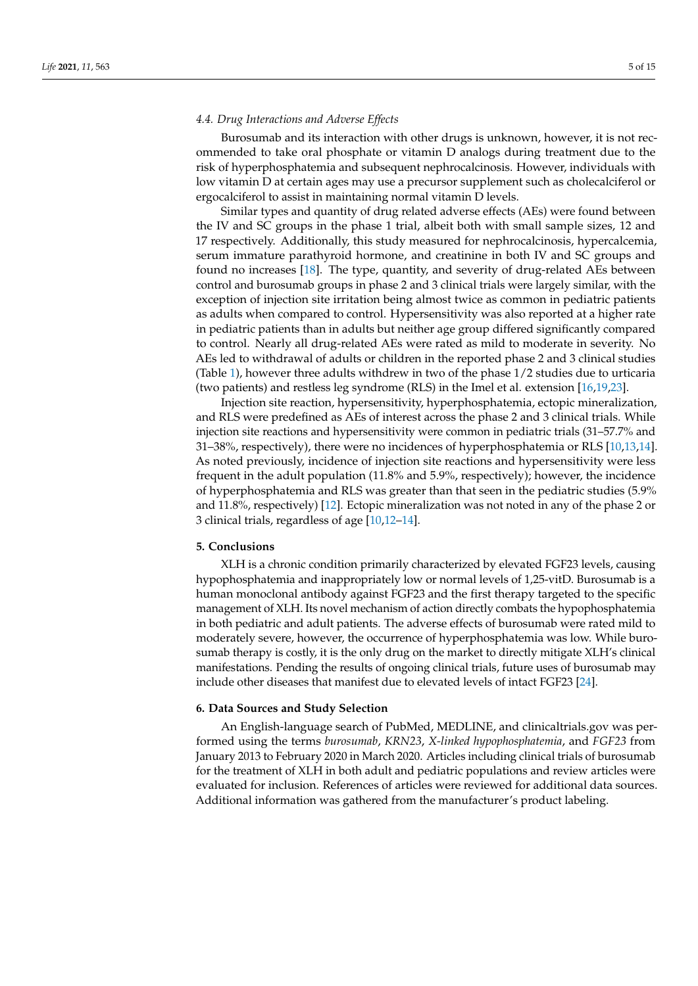## *4.4. Drug Interactions and Adverse Effects*

Burosumab and its interaction with other drugs is unknown, however, it is not recommended to take oral phosphate or vitamin D analogs during treatment due to the risk of hyperphosphatemia and subsequent nephrocalcinosis. However, individuals with low vitamin D at certain ages may use a precursor supplement such as cholecalciferol or ergocalciferol to assist in maintaining normal vitamin D levels.

Similar types and quantity of drug related adverse effects (AEs) were found between the IV and SC groups in the phase 1 trial, albeit both with small sample sizes, 12 and 17 respectively. Additionally, this study measured for nephrocalcinosis, hypercalcemia, serum immature parathyroid hormone, and creatinine in both IV and SC groups and found no increases [\[18\]](#page-14-8). The type, quantity, and severity of drug-related AEs between control and burosumab groups in phase 2 and 3 clinical trials were largely similar, with the exception of injection site irritation being almost twice as common in pediatric patients as adults when compared to control. Hypersensitivity was also reported at a higher rate in pediatric patients than in adults but neither age group differed significantly compared to control. Nearly all drug-related AEs were rated as mild to moderate in severity. No AEs led to withdrawal of adults or children in the reported phase 2 and 3 clinical studies (Table [1\)](#page-12-0), however three adults withdrew in two of the phase 1/2 studies due to urticaria (two patients) and restless leg syndrome (RLS) in the Imel et al. extension [\[16,](#page-14-6)[19](#page-14-9)[,23\]](#page-14-13).

Injection site reaction, hypersensitivity, hyperphosphatemia, ectopic mineralization, and RLS were predefined as AEs of interest across the phase 2 and 3 clinical trials. While injection site reactions and hypersensitivity were common in pediatric trials (31–57.7% and 31–38%, respectively), there were no incidences of hyperphosphatemia or RLS [\[10,](#page-14-0)[13,](#page-14-3)[14\]](#page-14-4). As noted previously, incidence of injection site reactions and hypersensitivity were less frequent in the adult population (11.8% and 5.9%, respectively); however, the incidence of hyperphosphatemia and RLS was greater than that seen in the pediatric studies (5.9% and 11.8%, respectively) [\[12\]](#page-14-2). Ectopic mineralization was not noted in any of the phase 2 or 3 clinical trials, regardless of age [\[10](#page-14-0)[,12–](#page-14-2)[14\]](#page-14-4).

### **5. Conclusions**

XLH is a chronic condition primarily characterized by elevated FGF23 levels, causing hypophosphatemia and inappropriately low or normal levels of 1,25-vitD. Burosumab is a human monoclonal antibody against FGF23 and the first therapy targeted to the specific management of XLH. Its novel mechanism of action directly combats the hypophosphatemia in both pediatric and adult patients. The adverse effects of burosumab were rated mild to moderately severe, however, the occurrence of hyperphosphatemia was low. While burosumab therapy is costly, it is the only drug on the market to directly mitigate XLH's clinical manifestations. Pending the results of ongoing clinical trials, future uses of burosumab may include other diseases that manifest due to elevated levels of intact FGF23 [\[24\]](#page-14-14).

#### **6. Data Sources and Study Selection**

An English-language search of PubMed, MEDLINE, and clinicaltrials.gov was performed using the terms *burosumab*, *KRN23*, *X-linked hypophosphatemia*, and *FGF23* from January 2013 to February 2020 in March 2020. Articles including clinical trials of burosumab for the treatment of XLH in both adult and pediatric populations and review articles were evaluated for inclusion. References of articles were reviewed for additional data sources. Additional information was gathered from the manufacturer's product labeling.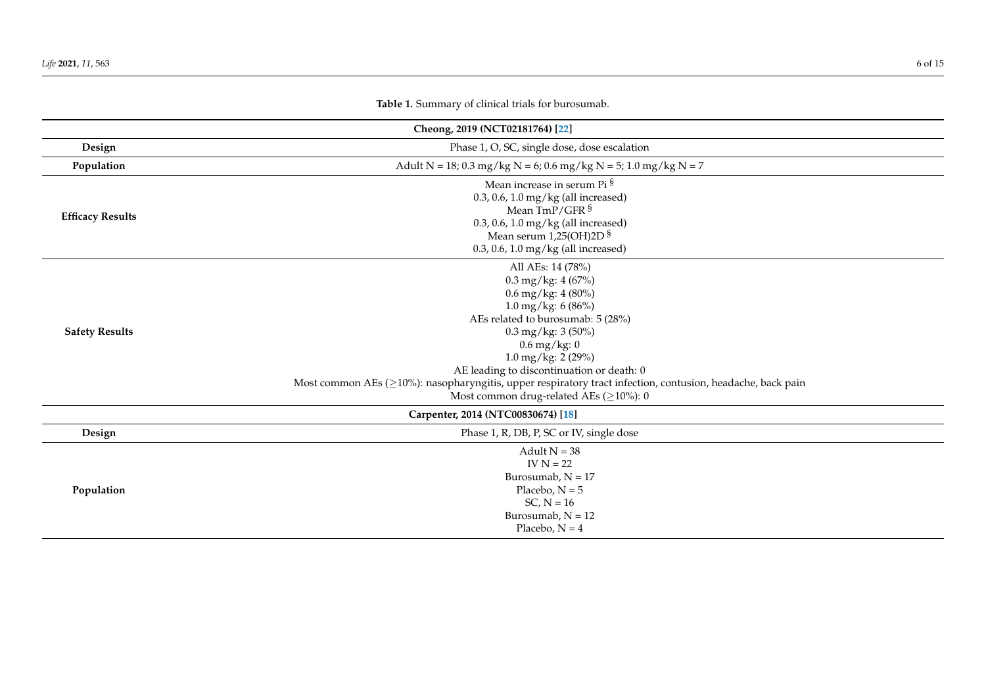## **Cheong, 2019 (NCT02181764) [\[22\]](#page-14-15) Design** Phase 1, O, SC, single dose, dose escalation **Population** Adult N = 18; 0.3 mg/kg N = 6; 0.6 mg/kg N = 5; 1.0 mg/kg N = 7 **Efficacy Results** Mean increase in serum Pi § 0.3, 0.6, 1.0 mg/kg (all increased) Mean  $\text{Im}P/\text{GFR}$  § 0.3, 0.6, 1.0 mg/kg (all increased) Mean serum 1,25(OH)2D § 0.3, 0.6, 1.0 mg/kg (all increased) **Safety Results** All AEs: 14 (78%) 0.3 mg/kg: 4 (67%) 0.6 mg/kg: 4 (80%) 1.0 mg/kg: 6 (86%) AEs related to burosumab: 5 (28%) 0.3 mg/kg: 3 (50%)  $0.6$  mg/kg: 0  $1.0 \,\text{mg/kg}: 2(29\%)$ AE leading to discontinuation or death: 0 Most common AEs (≥10%): nasopharyngitis, upper respiratory tract infection, contusion, headache, back pain Most common drug-related AEs ( $\geq$ 10%): 0 **Carpenter, 2014 (NTC00830674) [\[18\]](#page-14-16) Design** Phase 1, R, DB, P, SC or IV, single dose **Population** Adult  $N = 38$ IV  $N = 22$ Burosumab,  $N = 17$ Placebo,  $N = 5$ SC,  $N = 16$ Burosumab,  $N = 12$ Placebo,  $N = 4$

## **Table 1.** Summary of clinical trials for burosumab.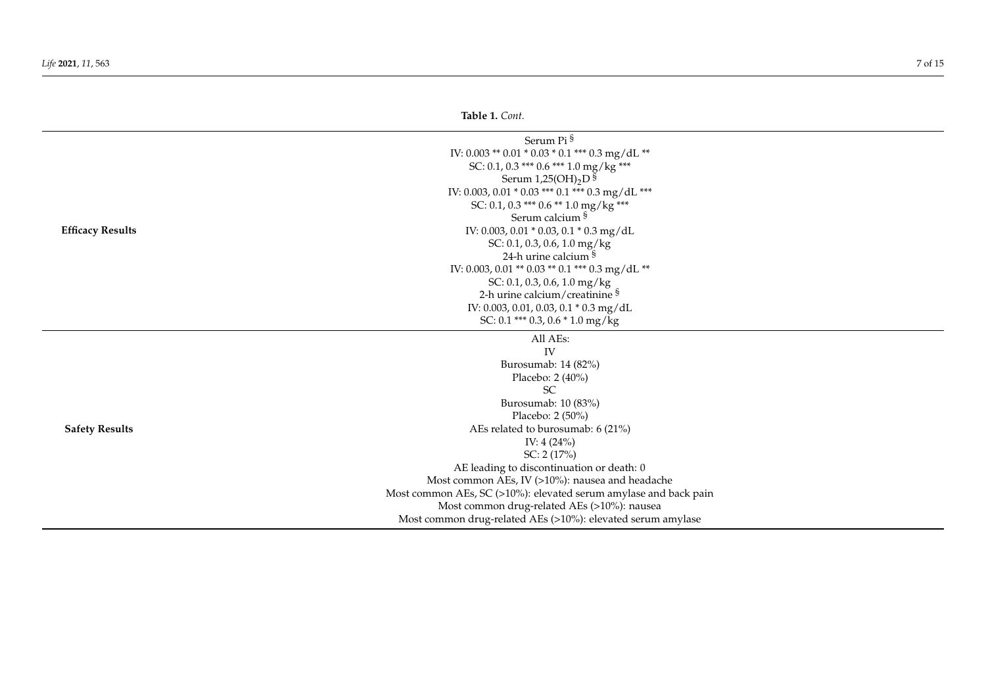## **Table 1.** *Cont.*

|                         | Serum Pi §                                                       |  |
|-------------------------|------------------------------------------------------------------|--|
|                         | IV: 0.003 ** 0.01 * 0.03 * 0.1 *** 0.3 mg/dL **                  |  |
|                         | SC: 0.1, 0.3 *** 0.6 *** 1.0 mg/kg ***                           |  |
|                         | Serum $1,25(OH)_2D$ <sup>§</sup>                                 |  |
|                         | IV: 0.003, 0.01 * 0.03 *** 0.1 *** 0.3 mg/dL ***                 |  |
|                         | SC: 0.1, 0.3 *** 0.6 ** 1.0 mg/kg ***                            |  |
|                         | Serum calcium §                                                  |  |
| <b>Efficacy Results</b> | IV: 0.003, 0.01 * 0.03, 0.1 * 0.3 mg/dL                          |  |
|                         | SC: 0.1, 0.3, 0.6, 1.0 mg/kg                                     |  |
|                         | 24-h urine calcium §                                             |  |
|                         | IV: 0.003, 0.01 ** 0.03 ** 0.1 *** 0.3 mg/dL **                  |  |
|                         | SC: 0.1, 0.3, 0.6, 1.0 mg/kg                                     |  |
|                         | 2-h urine calcium/creatinine §                                   |  |
|                         | IV: 0.003, 0.01, 0.03, 0.1 * 0.3 mg/dL                           |  |
|                         | SC: 0.1 *** 0.3, 0.6 * 1.0 mg/kg                                 |  |
|                         | All AEs:                                                         |  |
|                         | IV                                                               |  |
|                         | Burosumab: 14 (82%)                                              |  |
|                         | Placebo: 2 (40%)                                                 |  |
|                         | SC                                                               |  |
|                         | Burosumab: 10 (83%)                                              |  |
|                         | Placebo: 2 (50%)                                                 |  |
| <b>Safety Results</b>   | AEs related to burosumab: 6 (21%)                                |  |
|                         | IV: $4(24%)$                                                     |  |
|                         | SC: $2(17%)$                                                     |  |
|                         | AE leading to discontinuation or death: 0                        |  |
|                         | Most common AEs, IV (>10%): nausea and headache                  |  |
|                         | Most common AEs, SC (>10%): elevated serum amylase and back pain |  |
|                         | Most common drug-related AEs (>10%): nausea                      |  |
|                         | Most common drug-related AEs (>10%): elevated serum amylase      |  |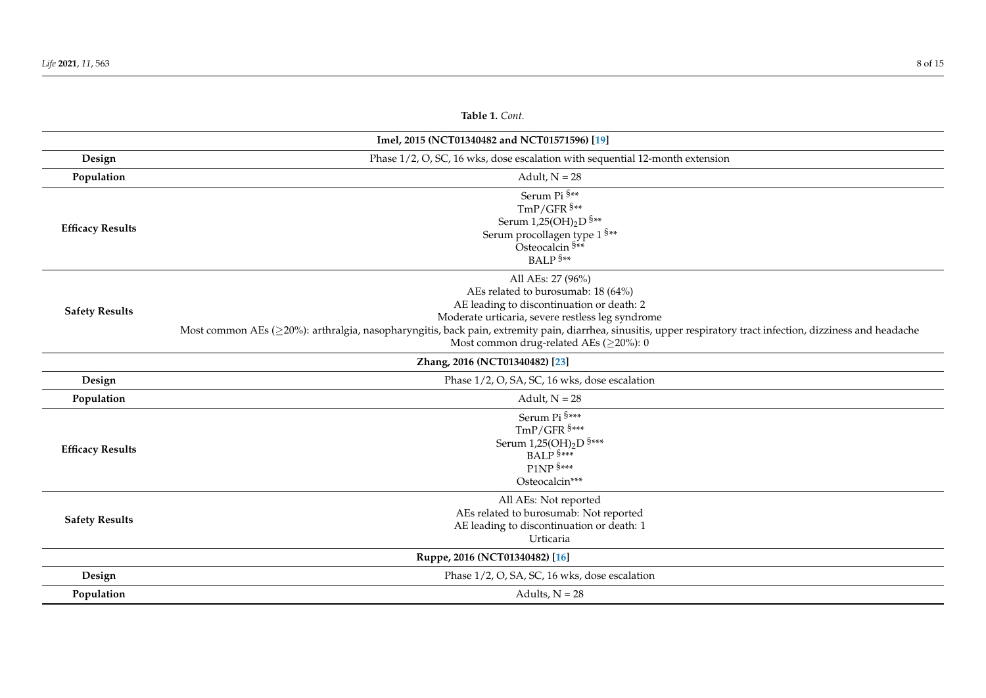| Table 1. Cont.          |                                                                                                                                                                                                                                                                                                                                                                             |  |  |
|-------------------------|-----------------------------------------------------------------------------------------------------------------------------------------------------------------------------------------------------------------------------------------------------------------------------------------------------------------------------------------------------------------------------|--|--|
|                         | Imel, 2015 (NCT01340482 and NCT01571596) [19]                                                                                                                                                                                                                                                                                                                               |  |  |
| Design                  | Phase 1/2, O, SC, 16 wks, dose escalation with sequential 12-month extension                                                                                                                                                                                                                                                                                                |  |  |
| Population              | Adult, $N = 28$                                                                                                                                                                                                                                                                                                                                                             |  |  |
| <b>Efficacy Results</b> | Serum Pi §**<br>$TmP/GFR$ \$**<br>Serum 1,25(OH) <sub>2</sub> D <sup>§**</sup><br>Serum procollagen type 1 $^{\S**}$<br>Osteocalcin <sup>§**</sup><br>BALP <sup>§**</sup>                                                                                                                                                                                                   |  |  |
| <b>Safety Results</b>   | All AEs: 27 (96%)<br>AEs related to burosumab: 18 (64%)<br>AE leading to discontinuation or death: 2<br>Moderate urticaria, severe restless leg syndrome<br>Most common AEs (≥20%): arthralgia, nasopharyngitis, back pain, extremity pain, diarrhea, sinusitis, upper respiratory tract infection, dizziness and headache<br>Most common drug-related AEs ( $\geq$ 20%): 0 |  |  |
|                         | Zhang, 2016 (NCT01340482) [23]                                                                                                                                                                                                                                                                                                                                              |  |  |
| Design                  | Phase 1/2, O, SA, SC, 16 wks, dose escalation                                                                                                                                                                                                                                                                                                                               |  |  |
| Population              | Adult, $N = 28$                                                                                                                                                                                                                                                                                                                                                             |  |  |
| <b>Efficacy Results</b> | Serum Pi §***<br>TmP/GFR <sup>§***</sup><br>Serum $1,25(OH)_2D$ <sup>§***</sup><br>BALP <sup>S***</sup><br>P1NP §***<br>Osteocalcin***                                                                                                                                                                                                                                      |  |  |
| <b>Safety Results</b>   | All AEs: Not reported<br>AEs related to burosumab: Not reported<br>AE leading to discontinuation or death: 1<br>Urticaria                                                                                                                                                                                                                                                   |  |  |
|                         | Ruppe, 2016 (NCT01340482) [16]                                                                                                                                                                                                                                                                                                                                              |  |  |
| Design                  | Phase 1/2, O, SA, SC, 16 wks, dose escalation                                                                                                                                                                                                                                                                                                                               |  |  |
| Population              | Adults, $N = 28$                                                                                                                                                                                                                                                                                                                                                            |  |  |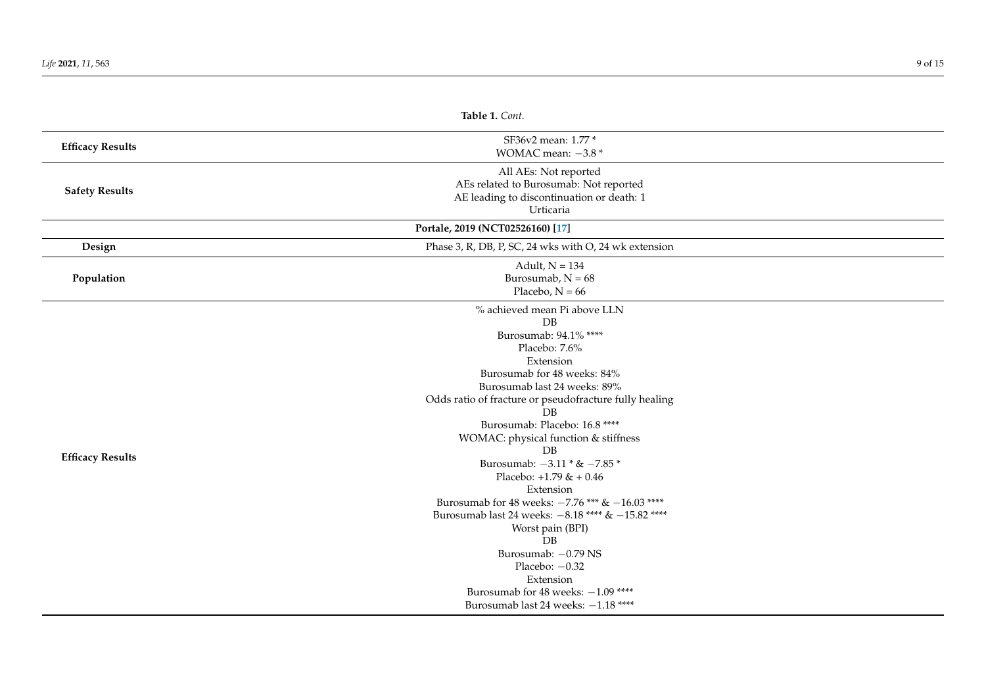|                         | Table 1. Cont.                                                                                                                                                                                                                                                                                                                                                                                                                                                                                                                                                                                                                                                                    |  |
|-------------------------|-----------------------------------------------------------------------------------------------------------------------------------------------------------------------------------------------------------------------------------------------------------------------------------------------------------------------------------------------------------------------------------------------------------------------------------------------------------------------------------------------------------------------------------------------------------------------------------------------------------------------------------------------------------------------------------|--|
| <b>Efficacy Results</b> | SF36v2 mean: 1.77 *<br>WOMAC mean: $-3.8*$                                                                                                                                                                                                                                                                                                                                                                                                                                                                                                                                                                                                                                        |  |
| <b>Safety Results</b>   | All AEs: Not reported<br>AEs related to Burosumab: Not reported<br>AE leading to discontinuation or death: 1<br>Urticaria                                                                                                                                                                                                                                                                                                                                                                                                                                                                                                                                                         |  |
|                         | Portale, 2019 (NCT02526160) [17]                                                                                                                                                                                                                                                                                                                                                                                                                                                                                                                                                                                                                                                  |  |
| Design                  | Phase 3, R, DB, P, SC, 24 wks with O, 24 wk extension                                                                                                                                                                                                                                                                                                                                                                                                                                                                                                                                                                                                                             |  |
| Population              | Adult, $N = 134$<br>Burosumab, $N = 68$<br>Placebo, $N = 66$                                                                                                                                                                                                                                                                                                                                                                                                                                                                                                                                                                                                                      |  |
| <b>Efficacy Results</b> | % achieved mean Pi above LLN<br>DB<br>Burosumab: 94.1% ****<br>Placebo: 7.6%<br>Extension<br>Burosumab for 48 weeks: 84%<br>Burosumab last 24 weeks: 89%<br>Odds ratio of fracture or pseudofracture fully healing<br>$\overline{DB}$<br>Burosumab: Placebo: 16.8 ****<br>WOMAC: physical function & stiffness<br>DB<br>Burosumab: $-3.11 * & -7.85 *$<br>Placebo: $+1.79 &+ 0.46$<br>Extension<br>Burosumab for 48 weeks: $-7.76$ *** & $-16.03$ ****<br>Burosumab last 24 weeks: $-8.18$ **** & $-15.82$ ****<br>Worst pain (BPI)<br>DB<br>Burosumab: - 0.79 NS<br>Placebo: $-0.32$<br>Extension<br>Burosumab for 48 weeks: $-1.09$ ****<br>Burosumab last 24 weeks: -1.18 **** |  |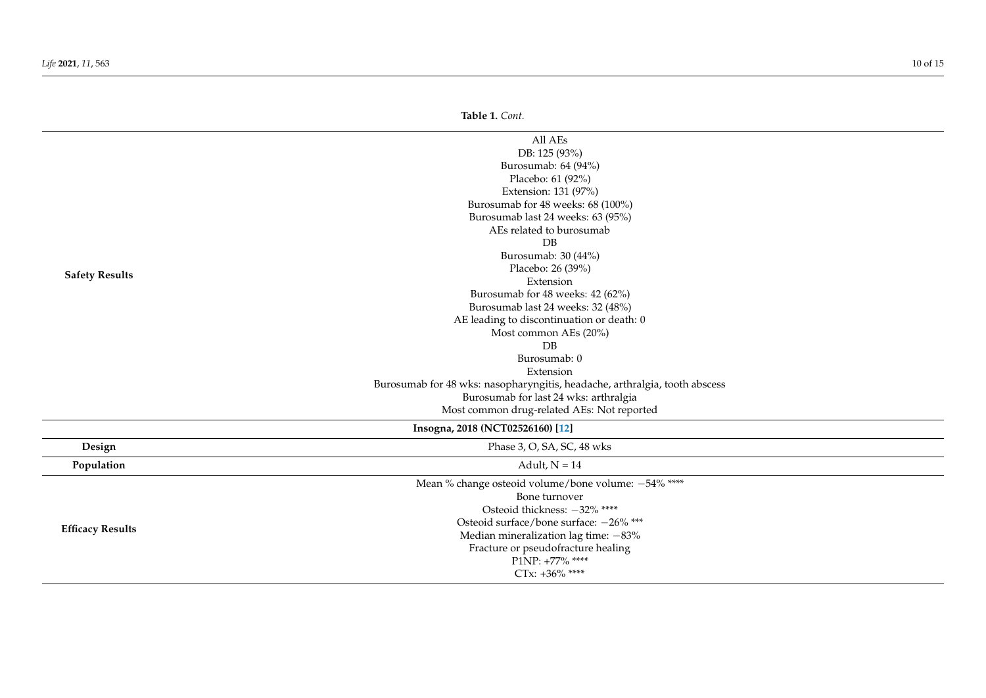|                         | Table 1. Cont.                                                                                                                                                                                                                                                                                                                                                                                                                                                                                                                                                                          |
|-------------------------|-----------------------------------------------------------------------------------------------------------------------------------------------------------------------------------------------------------------------------------------------------------------------------------------------------------------------------------------------------------------------------------------------------------------------------------------------------------------------------------------------------------------------------------------------------------------------------------------|
| <b>Safety Results</b>   | All AEs<br>DB: 125 (93%)<br>Burosumab: 64 (94%)<br>Placebo: 61 (92%)<br>Extension: 131 (97%)<br>Burosumab for 48 weeks: 68 (100%)<br>Burosumab last 24 weeks: 63 (95%)<br>AEs related to burosumab<br>$\overline{DB}$<br>Burosumab: 30 (44%)<br>Placebo: 26 (39%)<br>Extension<br>Burosumab for 48 weeks: 42 (62%)<br>Burosumab last 24 weeks: 32 (48%)<br>AE leading to discontinuation or death: 0<br>Most common AEs (20%)<br>DB<br>Burosumab: 0<br>Extension<br>Burosumab for 48 wks: nasopharyngitis, headache, arthralgia, tooth abscess<br>Burosumab for last 24 wks: arthralgia |
|                         | Most common drug-related AEs: Not reported                                                                                                                                                                                                                                                                                                                                                                                                                                                                                                                                              |
|                         | Insogna, 2018 (NCT02526160) [12]                                                                                                                                                                                                                                                                                                                                                                                                                                                                                                                                                        |
| Design                  | Phase 3, O, SA, SC, 48 wks                                                                                                                                                                                                                                                                                                                                                                                                                                                                                                                                                              |
| Population              | Adult, $N = 14$                                                                                                                                                                                                                                                                                                                                                                                                                                                                                                                                                                         |
| <b>Efficacy Results</b> | Mean % change osteoid volume/bone volume: -54% ****<br>Bone turnover<br>Osteoid thickness: -32% ****<br>Osteoid surface/bone surface: -26% ***<br>Median mineralization lag time: $-83\%$<br>Fracture or pseudofracture healing<br>P1NP: +77% ****<br>CTx: $+36\%$ ****                                                                                                                                                                                                                                                                                                                 |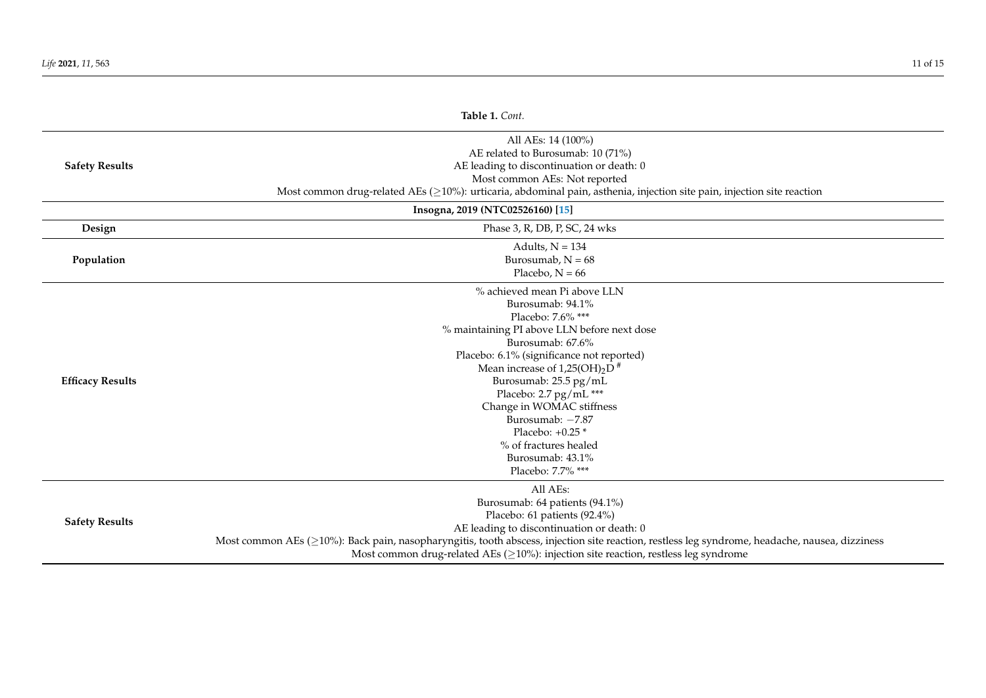| Table 1. Cont.          |                                                                                                                                                                                                                                                                                                                                                                                                                                  |
|-------------------------|----------------------------------------------------------------------------------------------------------------------------------------------------------------------------------------------------------------------------------------------------------------------------------------------------------------------------------------------------------------------------------------------------------------------------------|
| <b>Safety Results</b>   | All AEs: 14 (100%)<br>AE related to Burosumab: 10 (71%)<br>AE leading to discontinuation or death: 0<br>Most common AEs: Not reported<br>Most common drug-related AEs ( $\geq$ 10%): urticaria, abdominal pain, asthenia, injection site pain, injection site reaction                                                                                                                                                           |
|                         | Insogna, 2019 (NTC02526160) [15]                                                                                                                                                                                                                                                                                                                                                                                                 |
| Design                  | Phase 3, R, DB, P, SC, 24 wks                                                                                                                                                                                                                                                                                                                                                                                                    |
| Population              | Adults, $N = 134$<br>Burosumab, $N = 68$<br>Placebo, $N = 66$                                                                                                                                                                                                                                                                                                                                                                    |
| <b>Efficacy Results</b> | % achieved mean Pi above LLN<br>Burosumab: 94.1%<br>Placebo: 7.6% ***<br>% maintaining PI above LLN before next dose<br>Burosumab: 67.6%<br>Placebo: 6.1% (significance not reported)<br>Mean increase of $1,25(OH)_2D$ <sup>#</sup><br>Burosumab: 25.5 pg/mL<br>Placebo: 2.7 pg/mL ***<br>Change in WOMAC stiffness<br>Burosumab: -7.87<br>Placebo: $+0.25$ *<br>% of fractures healed<br>Burosumab: 43.1%<br>Placebo: 7.7% *** |
| <b>Safety Results</b>   | All AEs:<br>Burosumab: 64 patients (94.1%)<br>Placebo: 61 patients (92.4%)<br>AE leading to discontinuation or death: 0<br>Most common AEs ( $\geq$ 10%): Back pain, nasopharyngitis, tooth abscess, injection site reaction, restless leg syndrome, headache, nausea, dizziness<br>Most common drug-related AEs ( $\geq$ 10%): injection site reaction, restless leg syndrome                                                   |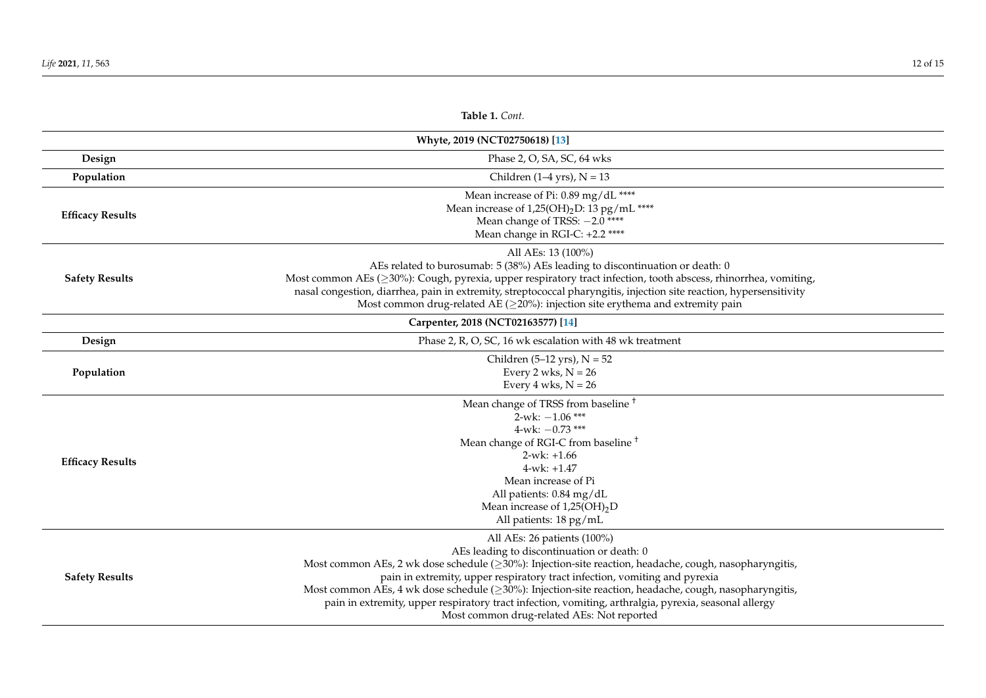| Table 1. Cont.                 |                                                                                                                                                                                                                                                                                                                                                                                                                                                                                                                                                  |  |
|--------------------------------|--------------------------------------------------------------------------------------------------------------------------------------------------------------------------------------------------------------------------------------------------------------------------------------------------------------------------------------------------------------------------------------------------------------------------------------------------------------------------------------------------------------------------------------------------|--|
| Whyte, 2019 (NCT02750618) [13] |                                                                                                                                                                                                                                                                                                                                                                                                                                                                                                                                                  |  |
| Design                         | Phase 2, O, SA, SC, 64 wks                                                                                                                                                                                                                                                                                                                                                                                                                                                                                                                       |  |
| Population                     | Children $(1-4$ yrs), $N = 13$                                                                                                                                                                                                                                                                                                                                                                                                                                                                                                                   |  |
| <b>Efficacy Results</b>        | Mean increase of Pi: 0.89 mg/dL ****<br>Mean increase of $1,25(OH)_2D: 13 pg/mL$ ****<br>Mean change of TRSS: -2.0 ****<br>Mean change in RGI-C: +2.2 ****                                                                                                                                                                                                                                                                                                                                                                                       |  |
| <b>Safety Results</b>          | All AEs: 13 (100%)<br>AEs related to burosumab: 5 (38%) AEs leading to discontinuation or death: 0<br>Most common AEs ( $\geq$ 30%): Cough, pyrexia, upper respiratory tract infection, tooth abscess, rhinorrhea, vomiting,<br>nasal congestion, diarrhea, pain in extremity, streptococcal pharyngitis, injection site reaction, hypersensitivity<br>Most common drug-related AE ( $\geq$ 20%): injection site erythema and extremity pain                                                                                                     |  |
|                                | Carpenter, 2018 (NCT02163577) [14]                                                                                                                                                                                                                                                                                                                                                                                                                                                                                                               |  |
| Design                         | Phase 2, R, O, SC, 16 wk escalation with 48 wk treatment                                                                                                                                                                                                                                                                                                                                                                                                                                                                                         |  |
| Population                     | Children $(5-12 \text{ yrs})$ , N = 52<br>Every 2 wks, $N = 26$<br>Every 4 wks, $N = 26$                                                                                                                                                                                                                                                                                                                                                                                                                                                         |  |
| <b>Efficacy Results</b>        | Mean change of TRSS from baseline <sup>+</sup><br>$2$ -wk: $-1.06$ ***<br>4-wk: $-0.73$ ***<br>Mean change of RGI-C from baseline <sup>+</sup><br>$2-wk: +1.66$<br>$4$ -wk: $+1.47$<br>Mean increase of Pi<br>All patients: 0.84 mg/dL<br>Mean increase of $1,25(OH)_2D$<br>All patients: 18 pg/mL                                                                                                                                                                                                                                               |  |
| <b>Safety Results</b>          | All AEs: 26 patients (100%)<br>AEs leading to discontinuation or death: 0<br>Most common AEs, 2 wk dose schedule ( $\geq$ 30%): Injection-site reaction, headache, cough, nasopharyngitis,<br>pain in extremity, upper respiratory tract infection, vomiting and pyrexia<br>Most common AEs, 4 wk dose schedule ( $\geq$ 30%): Injection-site reaction, headache, cough, nasopharyngitis,<br>pain in extremity, upper respiratory tract infection, vomiting, arthralgia, pyrexia, seasonal allergy<br>Most common drug-related AEs: Not reported |  |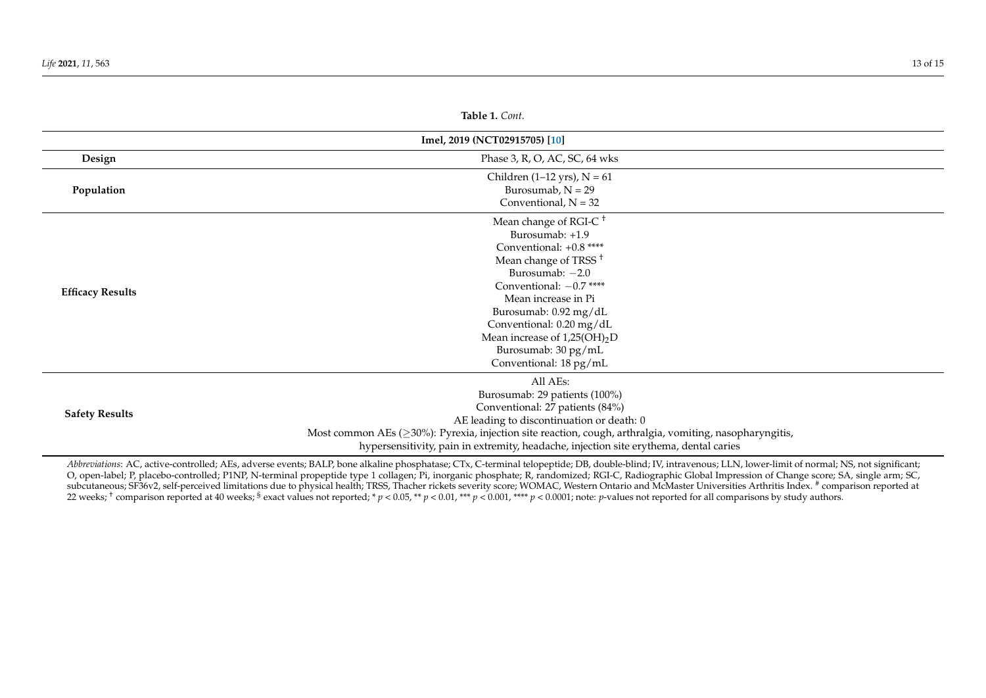| <b>Table 1.</b> Cont.         |                                                                                                                                                                                                                                                                                                                                      |  |
|-------------------------------|--------------------------------------------------------------------------------------------------------------------------------------------------------------------------------------------------------------------------------------------------------------------------------------------------------------------------------------|--|
| Imel, 2019 (NCT02915705) [10] |                                                                                                                                                                                                                                                                                                                                      |  |
| Design                        | Phase 3, R, O, AC, SC, 64 wks                                                                                                                                                                                                                                                                                                        |  |
| Population                    | Children (1–12 yrs), $N = 61$<br>Burosumab, $N = 29$<br>Conventional, $N = 32$                                                                                                                                                                                                                                                       |  |
| <b>Efficacy Results</b>       | Mean change of RGI-C <sup>+</sup><br>Burosumab: +1.9<br>Conventional: +0.8 ****<br>Mean change of TRSS <sup>+</sup><br>Burosumab: $-2.0$<br>Conventional: $-0.7$ ****<br>Mean increase in Pi<br>Burosumab: 0.92 mg/dL<br>Conventional: 0.20 mg/dL<br>Mean increase of $1,25(OH)_2D$<br>Burosumab: 30 pg/mL<br>Conventional: 18 pg/mL |  |
| <b>Safety Results</b>         | All AEs:<br>Burosumab: 29 patients (100%)<br>Conventional: 27 patients (84%)<br>AE leading to discontinuation or death: 0<br>Most common AEs ( $\geq$ 30%): Pyrexia, injection site reaction, cough, arthralgia, vomiting, nasopharyngitis,<br>hypersensitivity, pain in extremity, headache, injection site erythema, dental caries |  |

<span id="page-12-0"></span>*Abbreviations*: AC, active-controlled; AEs, adverse events; BALP, bone alkaline phosphatase; CTx, C-terminal telopeptide; DB, double-blind; IV, intravenous; LLN, lower-limit of normal; NS, not significant; O, open-label; P, placebo-controlled; P1NP, N-terminal propeptide type 1 collagen; Pi, inorganic phosphate; R, randomized; RGI-C, Radiographic Global Impression of Change score; SA, single arm; SC, subcutaneous; SF36v2, self-perceived limitations due to physical health; TRSS, Thacher rickets severity score; WOMAC, Western Ontario and McMaster Universities Arthritis Index. # comparison reported at 22 weeks;  $^{\dagger}$  comparison reported at 40 weeks;  $^{\S}$  exact values not reported; \*  $p < 0.05$ , \*\*  $p < 0.01$ , \*\*\*  $p < 0.001$ , \*\*\*\*  $p < 0.0001$ ; note:  $p$ -values not reported for all comparisons by study authors.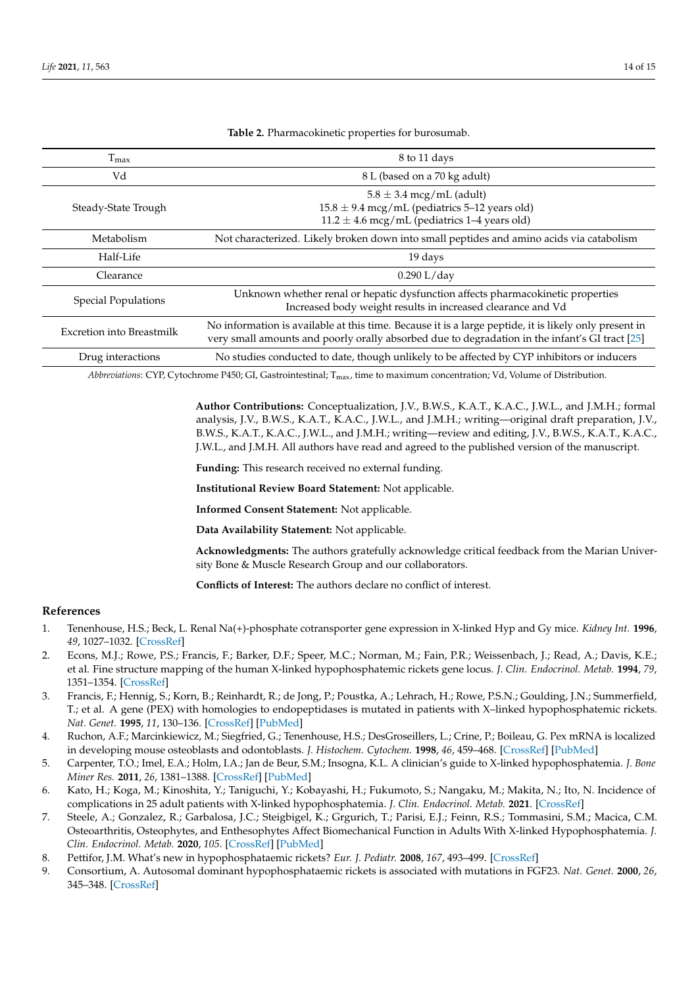<span id="page-13-7"></span>

| $T_{\text{max}}$           | 8 to 11 days                                                                                                                                                                                            |
|----------------------------|---------------------------------------------------------------------------------------------------------------------------------------------------------------------------------------------------------|
| Vd                         | 8 L (based on a 70 kg adult)                                                                                                                                                                            |
| Steady-State Trough        | $5.8 \pm 3.4$ mcg/mL (adult)<br>$15.8 \pm 9.4$ mcg/mL (pediatrics 5-12 years old)<br>$11.2 \pm 4.6$ mcg/mL (pediatrics 1–4 years old)                                                                   |
| Metabolism                 | Not characterized. Likely broken down into small peptides and amino acids via catabolism                                                                                                                |
| Half-Life                  | 19 days                                                                                                                                                                                                 |
| Clearance                  | $0.290$ L/day                                                                                                                                                                                           |
| <b>Special Populations</b> | Unknown whether renal or hepatic dysfunction affects pharmacokinetic properties<br>Increased body weight results in increased clearance and Vd                                                          |
| Excretion into Breastmilk  | No information is available at this time. Because it is a large peptide, it is likely only present in<br>very small amounts and poorly orally absorbed due to degradation in the infant's GI tract [25] |
| Drug interactions          | No studies conducted to date, though unlikely to be affected by CYP inhibitors or inducers                                                                                                              |

**Table 2.** Pharmacokinetic properties for burosumab.

*Abbreviations*: CYP, Cytochrome P450; GI, Gastrointestinal; Tmax, time to maximum concentration; Vd, Volume of Distribution.

**Author Contributions:** Conceptualization, J.V., B.W.S., K.A.T., K.A.C., J.W.L., and J.M.H.; formal analysis, J.V., B.W.S., K.A.T., K.A.C., J.W.L., and J.M.H.; writing—original draft preparation, J.V., B.W.S., K.A.T., K.A.C., J.W.L., and J.M.H.; writing—review and editing, J.V., B.W.S., K.A.T., K.A.C., J.W.L., and J.M.H. All authors have read and agreed to the published version of the manuscript.

**Funding:** This research received no external funding.

**Institutional Review Board Statement:** Not applicable.

**Informed Consent Statement:** Not applicable.

**Data Availability Statement:** Not applicable.

**Acknowledgments:** The authors gratefully acknowledge critical feedback from the Marian University Bone & Muscle Research Group and our collaborators.

**Conflicts of Interest:** The authors declare no conflict of interest.

## **References**

- <span id="page-13-0"></span>1. Tenenhouse, H.S.; Beck, L. Renal Na(+)-phosphate cotransporter gene expression in X-linked Hyp and Gy mice. *Kidney Int.* **1996**, *49*, 1027–1032. [\[CrossRef\]](http://doi.org/10.1038/ki.1996.149)
- 2. Econs, M.J.; Rowe, P.S.; Francis, F.; Barker, D.F.; Speer, M.C.; Norman, M.; Fain, P.R.; Weissenbach, J.; Read, A.; Davis, K.E.; et al. Fine structure mapping of the human X-linked hypophosphatemic rickets gene locus. *J. Clin. Endocrinol. Metab.* **1994**, *79*, 1351–1354. [\[CrossRef\]](http://doi.org/10.1210/jcem.79.5.7962329)
- <span id="page-13-1"></span>3. Francis, F.; Hennig, S.; Korn, B.; Reinhardt, R.; de Jong, P.; Poustka, A.; Lehrach, H.; Rowe, P.S.N.; Goulding, J.N.; Summerfield, T.; et al. A gene (PEX) with homologies to endopeptidases is mutated in patients with X–linked hypophosphatemic rickets. *Nat. Genet.* **1995**, *11*, 130–136. [\[CrossRef\]](http://doi.org/10.1038/ng1095-130) [\[PubMed\]](http://www.ncbi.nlm.nih.gov/pubmed/7550339)
- <span id="page-13-2"></span>4. Ruchon, A.F.; Marcinkiewicz, M.; Siegfried, G.; Tenenhouse, H.S.; DesGroseillers, L.; Crine, P.; Boileau, G. Pex mRNA is localized in developing mouse osteoblasts and odontoblasts. *J. Histochem. Cytochem.* **1998**, *46*, 459–468. [\[CrossRef\]](http://doi.org/10.1177/002215549804600405) [\[PubMed\]](http://www.ncbi.nlm.nih.gov/pubmed/9524191)
- <span id="page-13-3"></span>5. Carpenter, T.O.; Imel, E.A.; Holm, I.A.; Jan de Beur, S.M.; Insogna, K.L. A clinician's guide to X-linked hypophosphatemia. *J. Bone Miner Res.* **2011**, *26*, 1381–1388. [\[CrossRef\]](http://doi.org/10.1002/jbmr.340) [\[PubMed\]](http://www.ncbi.nlm.nih.gov/pubmed/21538511)
- <span id="page-13-4"></span>6. Kato, H.; Koga, M.; Kinoshita, Y.; Taniguchi, Y.; Kobayashi, H.; Fukumoto, S.; Nangaku, M.; Makita, N.; Ito, N. Incidence of complications in 25 adult patients with X-linked hypophosphatemia. *J. Clin. Endocrinol. Metab.* **2021**. [\[CrossRef\]](http://doi.org/10.1210/clinem/dgab282)
- 7. Steele, A.; Gonzalez, R.; Garbalosa, J.C.; Steigbigel, K.; Grgurich, T.; Parisi, E.J.; Feinn, R.S.; Tommasini, S.M.; Macica, C.M. Osteoarthritis, Osteophytes, and Enthesophytes Affect Biomechanical Function in Adults With X-linked Hypophosphatemia. *J. Clin. Endocrinol. Metab.* **2020**, *105*. [\[CrossRef\]](http://doi.org/10.1210/clinem/dgaa064) [\[PubMed\]](http://www.ncbi.nlm.nih.gov/pubmed/32047911)
- <span id="page-13-5"></span>8. Pettifor, J.M. What's new in hypophosphataemic rickets? *Eur. J. Pediatr.* **2008**, *167*, 493–499. [\[CrossRef\]](http://doi.org/10.1007/s00431-007-0662-1)
- <span id="page-13-6"></span>9. Consortium, A. Autosomal dominant hypophosphataemic rickets is associated with mutations in FGF23. *Nat. Genet.* **2000**, *26*, 345–348. [\[CrossRef\]](http://doi.org/10.1038/81664)